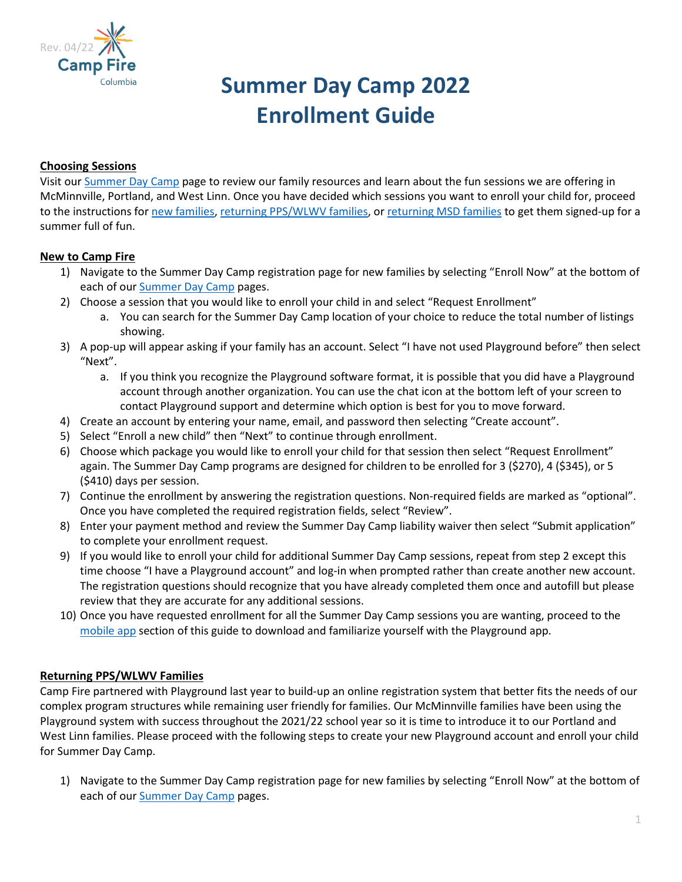

# **Summer Day Camp 2022 Enrollment Guide**

## **Choosing Sessions**

Visit ou[r Summer Day Camp](https://campfirecolumbia.org/programs/day-camp/) page to review our family resources and learn about the fun sessions we are offering in McMinnville, Portland, and West Linn. Once you have decided which sessions you want to enroll your child for, proceed to the instructions for [new families,](#page-0-0) [returning PPS/WLWV families,](#page-0-1) o[r returning MSD families](#page-1-0) to get them signed-up for a summer full of fun.

# <span id="page-0-0"></span>**New to Camp Fire**

- 1) Navigate to the Summer Day Camp registration page for new families by selecting "Enroll Now" at the bottom of each of our [Summer Day Camp](https://campfirecolumbia.org/programs/day-camp/) pages.
- 2) Choose a session that you would like to enroll your child in and select "Request Enrollment"
	- a. You can search for the Summer Day Camp location of your choice to reduce the total number of listings showing.
- 3) A pop-up will appear asking if your family has an account. Select "I have not used Playground before" then select "Next".
	- a. If you think you recognize the Playground software format, it is possible that you did have a Playground account through another organization. You can use the chat icon at the bottom left of your screen to contact Playground support and determine which option is best for you to move forward.
- 4) Create an account by entering your name, email, and password then selecting "Create account".
- 5) Select "Enroll a new child" then "Next" to continue through enrollment.
- 6) Choose which package you would like to enroll your child for that session then select "Request Enrollment" again. The Summer Day Camp programs are designed for children to be enrolled for 3 (\$270), 4 (\$345), or 5 (\$410) days per session.
- 7) Continue the enrollment by answering the registration questions. Non-required fields are marked as "optional". Once you have completed the required registration fields, select "Review".
- 8) Enter your payment method and review the Summer Day Camp liability waiver then select "Submit application" to complete your enrollment request.
- 9) If you would like to enroll your child for additional Summer Day Camp sessions, repeat from step 2 except this time choose "I have a Playground account" and log-in when prompted rather than create another new account. The registration questions should recognize that you have already completed them once and autofill but please review that they are accurate for any additional sessions.
- 10) Once you have requested enrollment for all the Summer Day Camp sessions you are wanting, proceed to the [mobile app](#page-2-0) section of this guide to download and familiarize yourself with the Playground app.

## <span id="page-0-1"></span>**Returning PPS/WLWV Families**

Camp Fire partnered with Playground last year to build-up an online registration system that better fits the needs of our complex program structures while remaining user friendly for families. Our McMinnville families have been using the Playground system with success throughout the 2021/22 school year so it is time to introduce it to our Portland and West Linn families. Please proceed with the following steps to create your new Playground account and enroll your child for Summer Day Camp.

1) Navigate to the Summer Day Camp registration page for new families by selecting "Enroll Now" at the bottom of each of our **Summer Day Camp** pages.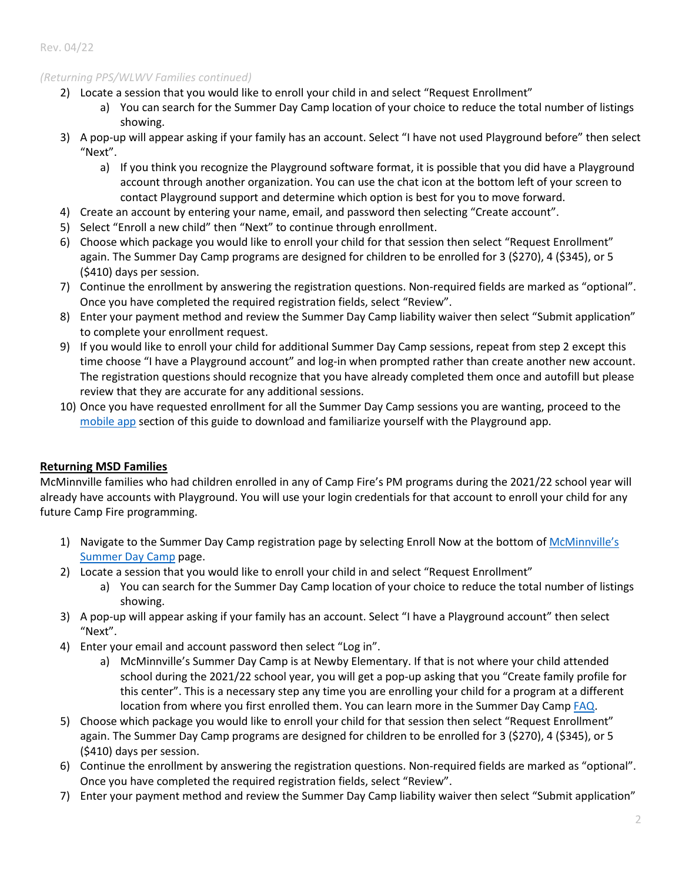#### Rev. 04/22

### *(Returning PPS/WLWV Families continued)*

- 2) Locate a session that you would like to enroll your child in and select "Request Enrollment"
	- a) You can search for the Summer Day Camp location of your choice to reduce the total number of listings showing.
- 3) A pop-up will appear asking if your family has an account. Select "I have not used Playground before" then select "Next".
	- a) If you think you recognize the Playground software format, it is possible that you did have a Playground account through another organization. You can use the chat icon at the bottom left of your screen to contact Playground support and determine which option is best for you to move forward.
- 4) Create an account by entering your name, email, and password then selecting "Create account".
- 5) Select "Enroll a new child" then "Next" to continue through enrollment.
- 6) Choose which package you would like to enroll your child for that session then select "Request Enrollment" again. The Summer Day Camp programs are designed for children to be enrolled for 3 (\$270), 4 (\$345), or 5 (\$410) days per session.
- 7) Continue the enrollment by answering the registration questions. Non-required fields are marked as "optional". Once you have completed the required registration fields, select "Review".
- 8) Enter your payment method and review the Summer Day Camp liability waiver then select "Submit application" to complete your enrollment request.
- 9) If you would like to enroll your child for additional Summer Day Camp sessions, repeat from step 2 except this time choose "I have a Playground account" and log-in when prompted rather than create another new account. The registration questions should recognize that you have already completed them once and autofill but please review that they are accurate for any additional sessions.
- 10) Once you have requested enrollment for all the Summer Day Camp sessions you are wanting, proceed to the [mobile app](#page-2-0) section of this guide to download and familiarize yourself with the Playground app.

## <span id="page-1-0"></span>**Returning MSD Families**

McMinnville families who had children enrolled in any of Camp Fire's PM programs during the 2021/22 school year will already have accounts with Playground. You will use your login credentials for that account to enroll your child for any future Camp Fire programming.

- 1) Navigate to the Summer Day Camp registration page by selecting Enroll Now at the bottom of [McMinnville's](https://campfirecolumbia.org/mcminnville-summer-day-camp/) [Summer Day Camp](https://campfirecolumbia.org/mcminnville-summer-day-camp/) page.
- 2) Locate a session that you would like to enroll your child in and select "Request Enrollment"
	- a) You can search for the Summer Day Camp location of your choice to reduce the total number of listings showing.
- 3) A pop-up will appear asking if your family has an account. Select "I have a Playground account" then select "Next".
- 4) Enter your email and account password then select "Log in".
	- a) McMinnville's Summer Day Camp is at Newby Elementary. If that is not where your child attended school during the 2021/22 school year, you will get a pop-up asking that you "Create family profile for this center". This is a necessary step any time you are enrolling your child for a program at a different location from where you first enrolled them. You can learn more in the Summer Day Camp [FAQ.](https://campfirecolumbia.org/wp-content/uploads/2022/04/SDC22-FAQ.pdf)
- 5) Choose which package you would like to enroll your child for that session then select "Request Enrollment" again. The Summer Day Camp programs are designed for children to be enrolled for 3 (\$270), 4 (\$345), or 5 (\$410) days per session.
- 6) Continue the enrollment by answering the registration questions. Non-required fields are marked as "optional". Once you have completed the required registration fields, select "Review".
- 7) Enter your payment method and review the Summer Day Camp liability waiver then select "Submit application"